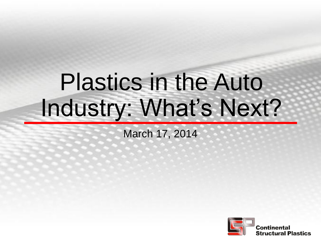# Plastics in the Auto Industry: What's Next?

March 17, 2014

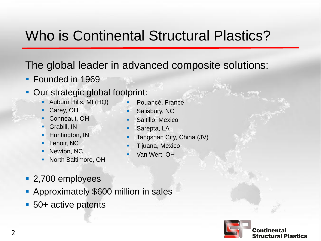### Who is Continental Structural Plastics?

#### The global leader in advanced composite solutions:

**Founded in 1969** 

#### **Our strategic global footprint:**

- Auburn Hills, MI (HQ)
- Carey, OH
- Conneaut, OH
- Grabill, IN
- Huntington, IN
- Lenoir, NC
- Newton, NC
- **North Baltimore, OH**
- Pouancé, France
- Salisbury, NC
- Saltillo, Mexico
- Sarepta, LA
- Tangshan City, China (JV)
- Tijuana, Mexico
- Van Wert, OH

- 2,700 employees
- **Approximately \$600 million in sales**
- 50+ active patents

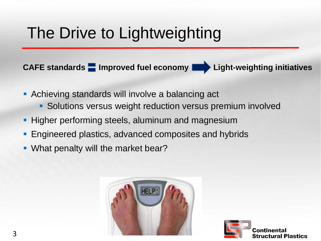### The Drive to Lightweighting

**CAFE standards Improved fuel economy Department Light-weighting initiatives** 

- **Achieving standards will involve a balancing act** 
	- **Solutions versus weight reduction versus premium involved**
- **Higher performing steels, aluminum and magnesium**
- Engineered plastics, advanced composites and hybrids
- **What penalty will the market bear?**



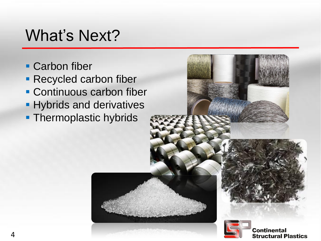### What's Next?

- **Carbon fiber**
- **Recycled carbon fiber**
- **Continuous carbon fiber**
- **Hybrids and derivatives**
- **Thermoplastic hybrids**

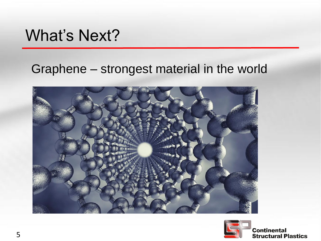### What's Next?

#### Graphene – strongest material in the world





**Continental Structural Plastics**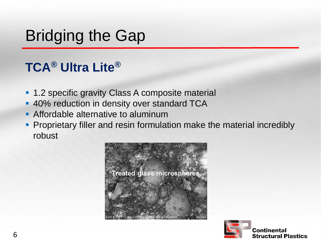## Bridging the Gap

### **TCA® Ultra Lite®**

- **1.2 specific gravity Class A composite material**
- **40% reduction in density over standard TCA**
- **Affordable alternative to aluminum**
- **Proprietary filler and resin formulation make the material incredibly** robust



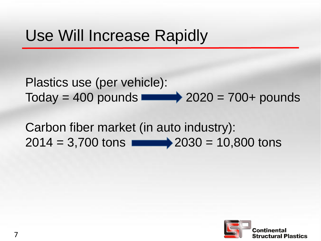### Use Will Increase Rapidly

Plastics use (per vehicle):  $\text{Today} = 400 \text{ pounds}$   $\longrightarrow$  2020 = 700+ pounds

Carbon fiber market (in auto industry):  $2014 = 3,700$  tons  $\longrightarrow$   $2030 = 10,800$  tons